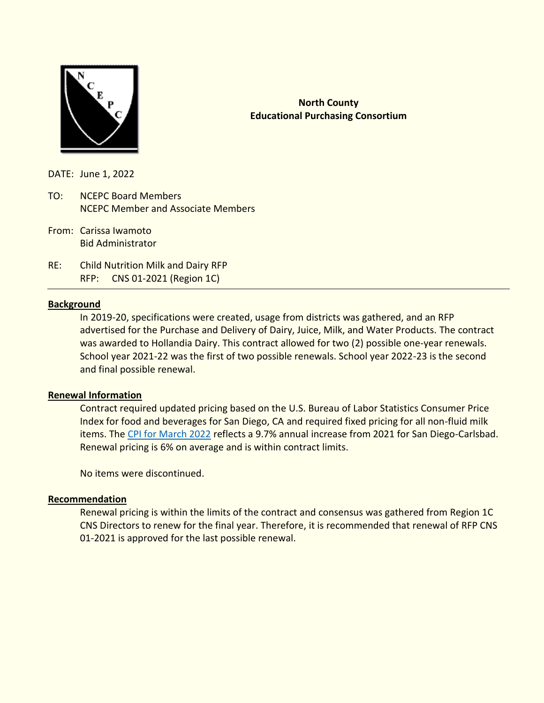

## **North County Educational Purchasing Consortium**

DATE: June 1, 2022

- TO: NCEPC Board Members NCEPC Member and Associate Members
- From: Carissa Iwamoto Bid Administrator
- RE: Child Nutrition Milk and Dairy RFP RFP: CNS 01-2021 (Region 1C)

### **Background**

In 2019-20, specifications were created, usage from districts was gathered, and an RFP advertised for the Purchase and Delivery of Dairy, Juice, Milk, and Water Products. The contract was awarded to Hollandia Dairy. This contract allowed for two (2) possible one-year renewals. School year 2021-22 was the first of two possible renewals. School year 2022-23 is the second and final possible renewal.

#### **Renewal Information**

Contract required updated pricing based on the U.S. Bureau of Labor Statistics Consumer Price Index for food and beverages for San Diego, CA and required fixed pricing for all non-fluid milk items. The [CPI for March 2022](https://www.bls.gov/regions/west/news-release/consumerpriceindex_sandiego.htm) reflects a 9.7% annual increase from 2021 for San Diego-Carlsbad. Renewal pricing is 6% on average and is within contract limits.

No items were discontinued.

#### **Recommendation**

Renewal pricing is within the limits of the contract and consensus was gathered from Region 1C CNS Directors to renew for the final year. Therefore, it is recommended that renewal of RFP CNS 01-2021 is approved for the last possible renewal.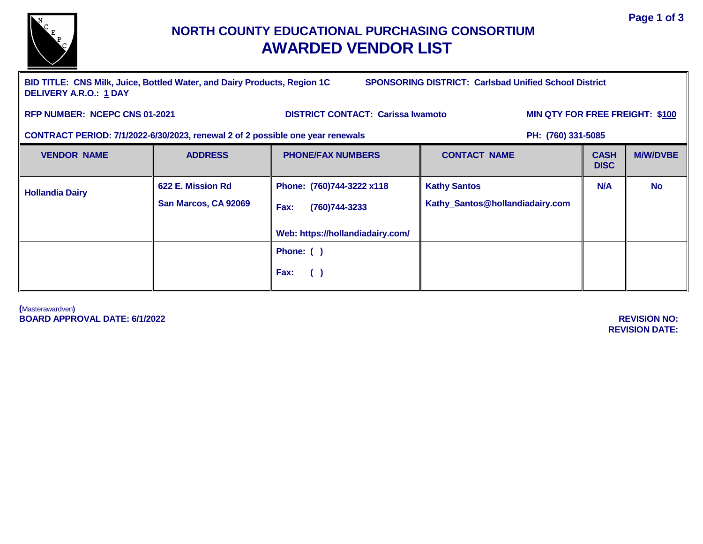

# **NORTH COUNTY EDUCATIONAL PURCHASING CONSORTIUM AWARDED VENDOR LIST**

**BID TITLE: CNS Milk, Juice, Bottled Water, and Dairy Products, Region 1C SPONSORING DISTRICT: Carlsbad Unified School District DELIVERY A.R.O.: 1 DAY**

RFP NUMBER: NCEPC CNS 01-2021 DISTRICT CONTACT: Carissa Iwamoto MIN QTY FOR FREE FREIGHT: \$100

**CONTRACT PERIOD: 7/1/2022-6/30/2023, renewal 2 of 2 possible one year renewals PH: (760) 331-5085** 

| <b>VENDOR NAME</b>     | <b>ADDRESS</b>                            | <b>PHONE/FAX NUMBERS</b>                                                                | <b>CONTACT NAME</b>                                    | <b>CASH</b><br><b>DISC</b> | <b>M/W/DVBE</b> |
|------------------------|-------------------------------------------|-----------------------------------------------------------------------------------------|--------------------------------------------------------|----------------------------|-----------------|
| <b>Hollandia Dairy</b> | 622 E. Mission Rd<br>San Marcos, CA 92069 | Phone: (760)744-3222 x118<br>Fax:<br>(760) 744-3233<br>Web: https://hollandiadairy.com/ | <b>Kathy Santos</b><br>Kathy_Santos@hollandiadairy.com | N/A                        | <b>No</b>       |
|                        |                                           | Phone: ()<br>Fax:<br>$\left( \quad \right)$                                             |                                                        |                            |                 |

**(**Masterawardven**) BOARD APPROVAL DATE: 6/1/2022 REVISION NO:** 

**REVISION DATE:**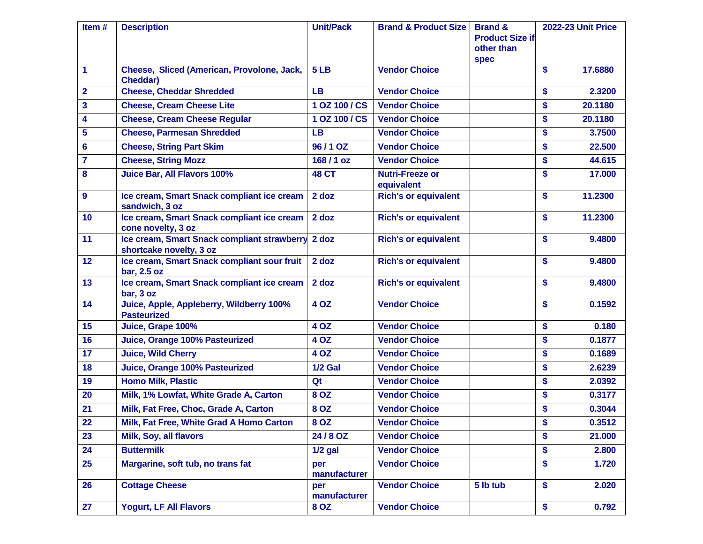| Item#                   | <b>Description</b>                                                           | <b>Unit/Pack</b>    | <b>Brand &amp; Product Size</b>      | <b>Brand &amp;</b><br><b>Product Size if</b><br>other than<br><b>spec</b> |                   | <b>2022-23 Unit Price</b> |
|-------------------------|------------------------------------------------------------------------------|---------------------|--------------------------------------|---------------------------------------------------------------------------|-------------------|---------------------------|
| $\mathbf 1$             | Cheese, Sliced (American, Provolone, Jack,<br><b>Cheddar)</b>                | 5LB                 | <b>Vendor Choice</b>                 |                                                                           | \$                | 17.6880                   |
| $\overline{2}$          | <b>Cheese, Cheddar Shredded</b>                                              | <b>LB</b>           | <b>Vendor Choice</b>                 |                                                                           | \$                | 2.3200                    |
| $\overline{\mathbf{3}}$ | <b>Cheese, Cream Cheese Lite</b>                                             | 1 OZ 100 / CS       | <b>Vendor Choice</b>                 |                                                                           | \$                | 20.1180                   |
| 4                       | <b>Cheese, Cream Cheese Regular</b>                                          | 1 OZ 100 / CS       | <b>Vendor Choice</b>                 |                                                                           | \$                | 20.1180                   |
| 5                       | <b>Cheese, Parmesan Shredded</b>                                             | <b>LB</b>           | <b>Vendor Choice</b>                 |                                                                           | \$                | 3.7500                    |
| 6                       | <b>Cheese, String Part Skim</b>                                              | 96/1 OZ             | <b>Vendor Choice</b>                 |                                                                           | \$                | 22.500                    |
| $\overline{7}$          | <b>Cheese, String Mozz</b>                                                   | 168/1 oz            | <b>Vendor Choice</b>                 |                                                                           | \$                | 44.615                    |
| 8                       | Juice Bar, All Flavors 100%                                                  | <b>48 CT</b>        | <b>Nutri-Freeze or</b><br>equivalent |                                                                           | \$                | 17.000                    |
| $\boldsymbol{9}$        | Ice cream, Smart Snack compliant ice cream<br>sandwich, 3 oz                 | $2$ doz             | <b>Rich's or equivalent</b>          |                                                                           | \$                | 11.2300                   |
| 10                      | Ice cream, Smart Snack compliant ice cream<br>cone novelty, 3 oz             | 2 doz               | <b>Rich's or equivalent</b>          |                                                                           | \$                | 11.2300                   |
| 11                      | Ice cream, Smart Snack compliant strawberry 2 doz<br>shortcake novelty, 3 oz |                     | <b>Rich's or equivalent</b>          |                                                                           | $\boldsymbol{\$}$ | 9.4800                    |
| 12                      | Ice cream, Smart Snack compliant sour fruit<br>bar, 2.5 oz                   | 2 doz               | <b>Rich's or equivalent</b>          |                                                                           | \$                | 9.4800                    |
| 13                      | Ice cream, Smart Snack compliant ice cream<br>bar, 3 oz                      | 2 doz               | <b>Rich's or equivalent</b>          |                                                                           | \$                | 9.4800                    |
| 14                      | Juice, Apple, Appleberry, Wildberry 100%<br><b>Pasteurized</b>               | 4 OZ                | <b>Vendor Choice</b>                 |                                                                           | $\boldsymbol{\$}$ | 0.1592                    |
| 15                      | Juice, Grape 100%                                                            | 4 OZ                | <b>Vendor Choice</b>                 |                                                                           | \$                | 0.180                     |
| 16                      | Juice, Orange 100% Pasteurized                                               | <b>4 OZ</b>         | <b>Vendor Choice</b>                 |                                                                           | \$                | 0.1877                    |
| 17                      | <b>Juice, Wild Cherry</b>                                                    | <b>4 OZ</b>         | <b>Vendor Choice</b>                 |                                                                           | \$                | 0.1689                    |
| 18                      | Juice, Orange 100% Pasteurized                                               | <b>1/2 Gal</b>      | <b>Vendor Choice</b>                 |                                                                           | \$                | 2.6239                    |
| 19                      | <b>Homo Milk, Plastic</b>                                                    | Qt                  | <b>Vendor Choice</b>                 |                                                                           | \$                | 2.0392                    |
| 20                      | Milk, 1% Lowfat, White Grade A, Carton                                       | 8 OZ                | <b>Vendor Choice</b>                 |                                                                           | \$                | 0.3177                    |
| 21                      | Milk, Fat Free, Choc, Grade A, Carton                                        | 8 OZ                | <b>Vendor Choice</b>                 |                                                                           | \$                | 0.3044                    |
| 22                      | Milk, Fat Free, White Grad A Homo Carton                                     | 8 OZ                | <b>Vendor Choice</b>                 |                                                                           | \$                | 0.3512                    |
| 23                      | Milk, Soy, all flavors                                                       | 24/8 OZ             | <b>Vendor Choice</b>                 |                                                                           | \$                | 21.000                    |
| 24                      | <b>Buttermilk</b>                                                            | $1/2$ gal           | <b>Vendor Choice</b>                 |                                                                           | \$                | 2.800                     |
| 25                      | Margarine, soft tub, no trans fat                                            | per<br>manufacturer | <b>Vendor Choice</b>                 |                                                                           | \$                | 1.720                     |
| 26                      | <b>Cottage Cheese</b>                                                        | per<br>manufacturer | <b>Vendor Choice</b>                 | 5 lb tub                                                                  | \$                | 2.020                     |
| 27                      | <b>Yogurt, LF All Flavors</b>                                                | 8 OZ                | <b>Vendor Choice</b>                 |                                                                           | \$                | 0.792                     |